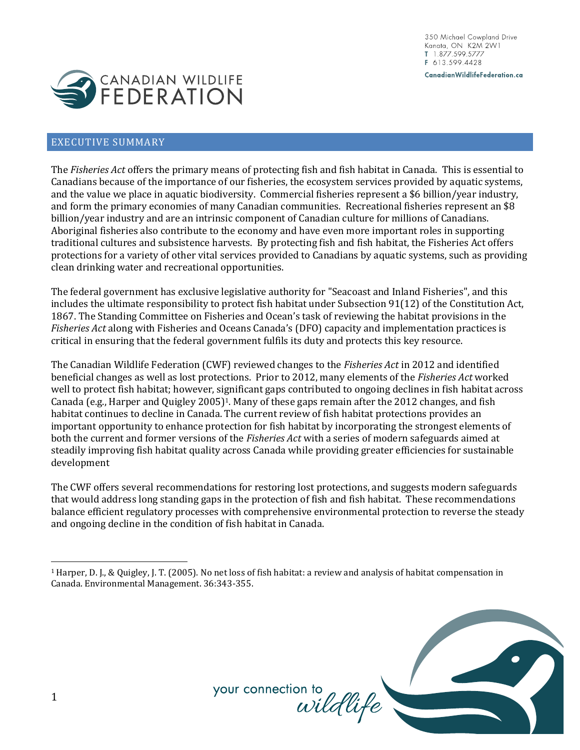350 Michael Cowpland Drive Kanata, ON K2M 2W1  $1.877.599.5777$ F 613.599.4428

CanadianWildlifeFederation.ca



#### <span id="page-0-0"></span>EXECUTIVE SUMMARY

The *Fisheries Act* offers the primary means of protecting fish and fish habitat in Canada. This is essential to Canadians because of the importance of our fisheries, the ecosystem services provided by aquatic systems, and the value we place in aquatic biodiversity. Commercial fisheries represent a \$6 billion/year industry, and form the primary economies of many Canadian communities. Recreational fisheries represent an \$8 billion/year industry and are an intrinsic component of Canadian culture for millions of Canadians. Aboriginal fisheries also contribute to the economy and have even more important roles in supporting traditional cultures and subsistence harvests. By protecting fish and fish habitat, the Fisheries Act offers protections for a variety of other vital services provided to Canadians by aquatic systems, such as providing clean drinking water and recreational opportunities.

The federal government has exclusive legislative authority for "Seacoast and Inland Fisheries", and this includes the ultimate responsibility to protect fish habitat under Subsection 91(12) of the Constitution Act, 1867. The Standing Committee on Fisheries and Ocean's task of reviewing the habitat provisions in the *Fisheries Act* along with Fisheries and Oceans Canada's (DFO) capacity and implementation practices is critical in ensuring that the federal government fulfils its duty and protects this key resource.

The Canadian Wildlife Federation (CWF) reviewed changes to the *Fisheries Act* in 2012 and identified beneficial changes as well as lost protections. Prior to 2012, many elements of the *Fisheries Act* worked well to protect fish habitat; however, significant gaps contributed to ongoing declines in fish habitat across Canada (e.g., Harper and Quigley 2005)<sup>1</sup>. Many of these gaps remain after the 2012 changes, and fish habitat continues to decline in Canada. The current review of fish habitat protections provides an important opportunity to enhance protection for fish habitat by incorporating the strongest elements of both the current and former versions of the *Fisheries Act* with a series of modern safeguards aimed at steadily improving fish habitat quality across Canada while providing greater efficiencies for sustainable development

The CWF offers several recommendations for restoring lost protections, and suggests modern safeguards that would address long standing gaps in the protection of fish and fish habitat. These recommendations balance efficient regulatory processes with comprehensive environmental protection to reverse the steady and ongoing decline in the condition of fish habitat in Canada.

<sup>1</sup> Harper, D. J., & Quigley, J. T. (2005). No net loss of fish habitat: a review and analysis of habitat compensation in Canada. Environmental Management. 36:343-355.

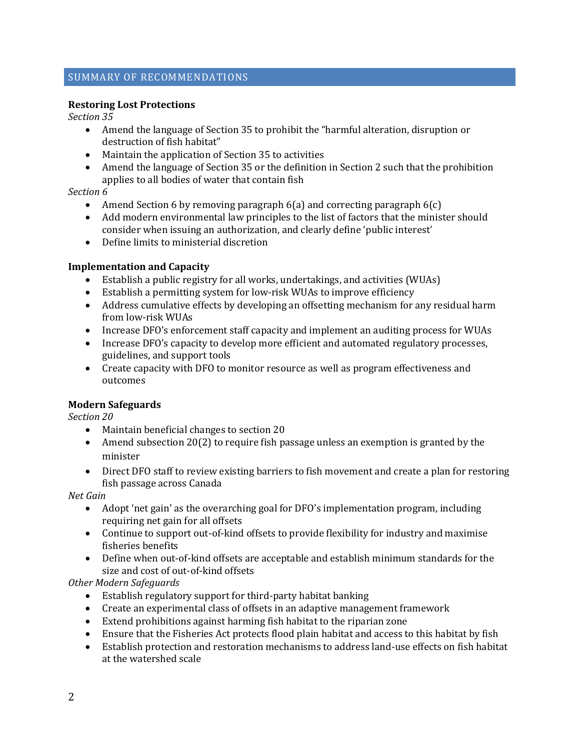#### SUMMARY OF RECOMMENDATIONS

#### **Restoring Lost Protections**

*Section 35*

- Amend the language of Section 35 to prohibit the "harmful alteration, disruption or destruction of fish habitat"
- Maintain the application of Section 35 to activities
- Amend the language of Section 35 or the definition in Section 2 such that the prohibition applies to all bodies of water that contain fish

#### *Section 6*

- Amend Section 6 by removing paragraph  $6(a)$  and correcting paragraph  $6(c)$
- Add modern environmental law principles to the list of factors that the minister should consider when issuing an authorization, and clearly define 'public interest'
- Define limits to ministerial discretion

#### **Implementation and Capacity**

- Establish a public registry for all works, undertakings, and activities (WUAs)
- Establish a permitting system for low-risk WUAs to improve efficiency
- Address cumulative effects by developing an offsetting mechanism for any residual harm from low-risk WUAs
- Increase DFO's enforcement staff capacity and implement an auditing process for WUAs
- Increase DFO's capacity to develop more efficient and automated regulatory processes, guidelines, and support tools
- Create capacity with DFO to monitor resource as well as program effectiveness and outcomes

#### **Modern Safeguards**

*Section 20*

- Maintain beneficial changes to section 20
- Amend subsection 20(2) to require fish passage unless an exemption is granted by the minister
- Direct DFO staff to review existing barriers to fish movement and create a plan for restoring fish passage across Canada

*Net Gain*

- Adopt 'net gain' as the overarching goal for DFO's implementation program, including requiring net gain for all offsets
- Continue to support out-of-kind offsets to provide flexibility for industry and maximise fisheries benefits
- Define when out-of-kind offsets are acceptable and establish minimum standards for the size and cost of out-of-kind offsets

*Other Modern Safeguards*

- Establish regulatory support for third-party habitat banking
- Create an experimental class of offsets in an adaptive management framework
- Extend prohibitions against harming fish habitat to the riparian zone
- Ensure that the Fisheries Act protects flood plain habitat and access to this habitat by fish
- Establish protection and restoration mechanisms to address land-use effects on fish habitat at the watershed scale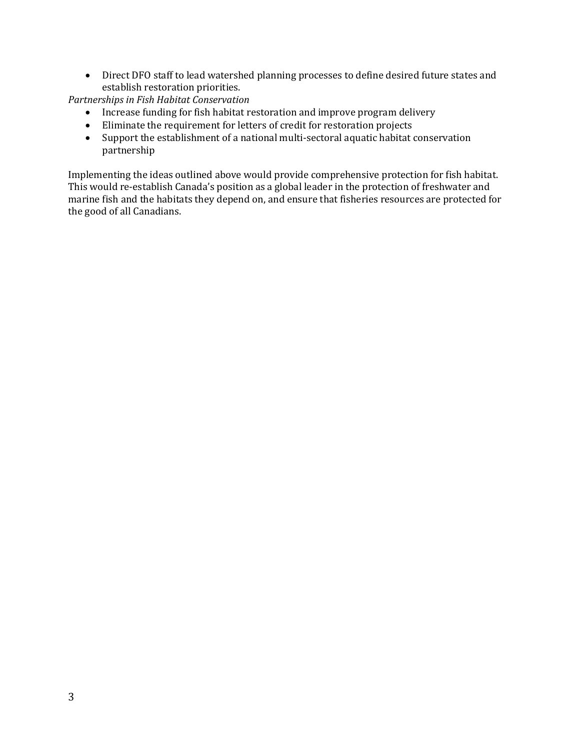Direct DFO staff to lead watershed planning processes to define desired future states and establish restoration priorities.

*Partnerships in Fish Habitat Conservation*

- Increase funding for fish habitat restoration and improve program delivery
- Eliminate the requirement for letters of credit for restoration projects
- Support the establishment of a national multi-sectoral aquatic habitat conservation partnership

Implementing the ideas outlined above would provide comprehensive protection for fish habitat. This would re-establish Canada's position as a global leader in the protection of freshwater and marine fish and the habitats they depend on, and ensure that fisheries resources are protected for the good of all Canadians.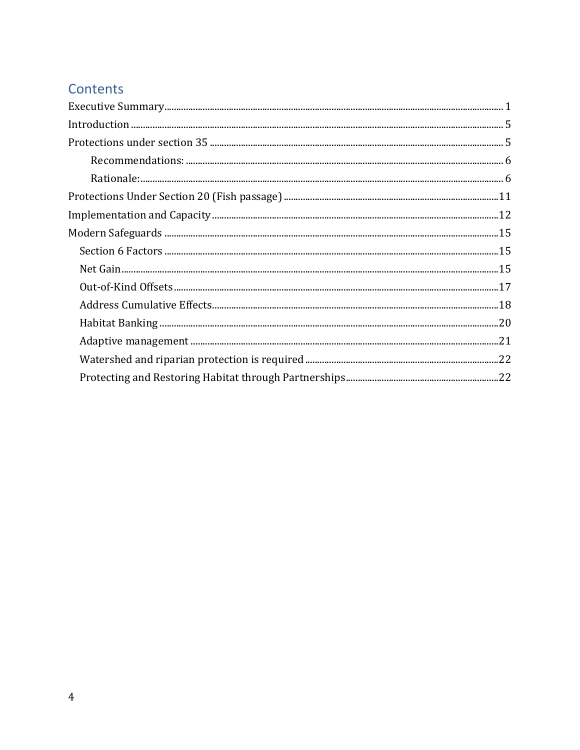# Contents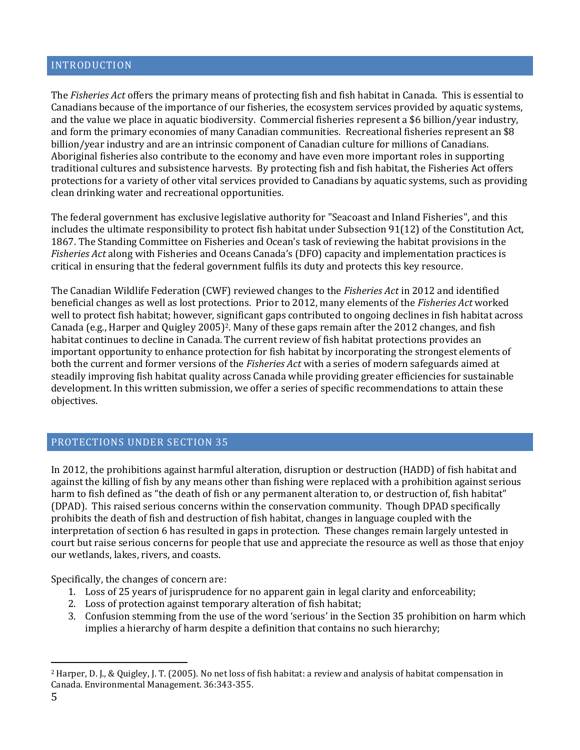# <span id="page-4-0"></span>INTRODUCTION

The *Fisheries Act* offers the primary means of protecting fish and fish habitat in Canada. This is essential to Canadians because of the importance of our fisheries, the ecosystem services provided by aquatic systems, and the value we place in aquatic biodiversity. Commercial fisheries represent a \$6 billion/year industry, and form the primary economies of many Canadian communities. Recreational fisheries represent an \$8 billion/year industry and are an intrinsic component of Canadian culture for millions of Canadians. Aboriginal fisheries also contribute to the economy and have even more important roles in supporting traditional cultures and subsistence harvests. By protecting fish and fish habitat, the Fisheries Act offers protections for a variety of other vital services provided to Canadians by aquatic systems, such as providing clean drinking water and recreational opportunities.

The federal government has exclusive legislative authority for "Seacoast and Inland Fisheries", and this includes the ultimate responsibility to protect fish habitat under Subsection 91(12) of the Constitution Act, 1867. The Standing Committee on Fisheries and Ocean's task of reviewing the habitat provisions in the *Fisheries Act* along with Fisheries and Oceans Canada's (DFO) capacity and implementation practices is critical in ensuring that the federal government fulfils its duty and protects this key resource.

The Canadian Wildlife Federation (CWF) reviewed changes to the *Fisheries Act* in 2012 and identified beneficial changes as well as lost protections. Prior to 2012, many elements of the *Fisheries Act* worked well to protect fish habitat; however, significant gaps contributed to ongoing declines in fish habitat across Canada (e.g., Harper and Quigley 2005)2. Many of these gaps remain after the 2012 changes, and fish habitat continues to decline in Canada. The current review of fish habitat protections provides an important opportunity to enhance protection for fish habitat by incorporating the strongest elements of both the current and former versions of the *Fisheries Act* with a series of modern safeguards aimed at steadily improving fish habitat quality across Canada while providing greater efficiencies for sustainable development. In this written submission, we offer a series of specific recommendations to attain these objectives.

# <span id="page-4-1"></span>PROTECTIONS UNDER SECTION 35

In 2012, the prohibitions against harmful alteration, disruption or destruction (HADD) of fish habitat and against the killing of fish by any means other than fishing were replaced with a prohibition against serious harm to fish defined as "the death of fish or any permanent alteration to, or destruction of, fish habitat" (DPAD). This raised serious concerns within the conservation community. Though DPAD specifically prohibits the death of fish and destruction of fish habitat, changes in language coupled with the interpretation of section 6 has resulted in gaps in protection. These changes remain largely untested in court but raise serious concerns for people that use and appreciate the resource as well as those that enjoy our wetlands, lakes, rivers, and coasts.

Specifically, the changes of concern are:

- 1. Loss of 25 years of jurisprudence for no apparent gain in legal clarity and enforceability;
- 2. Loss of protection against temporary alteration of fish habitat;
- 3. Confusion stemming from the use of the word 'serious' in the Section 35 prohibition on harm which implies a hierarchy of harm despite a definition that contains no such hierarchy;

l

<sup>2</sup> Harper, D. J., & Quigley, J. T. (2005). No net loss of fish habitat: a review and analysis of habitat compensation in Canada. Environmental Management. 36:343-355.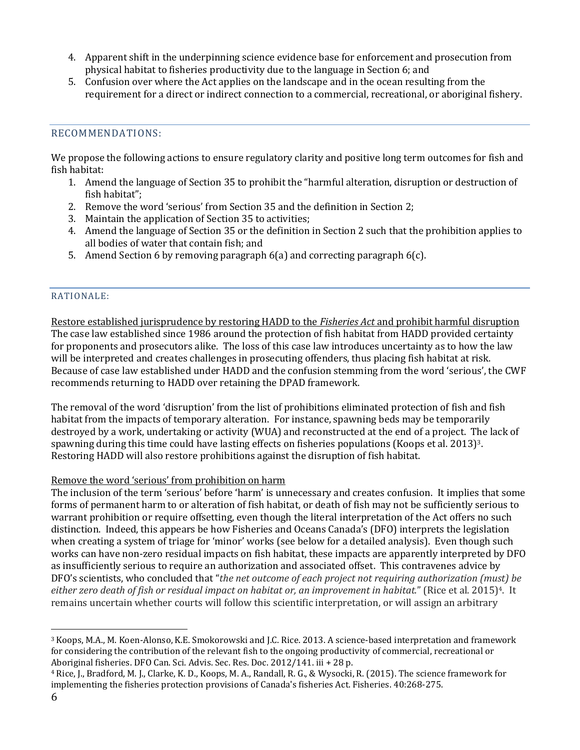- 4. Apparent shift in the underpinning science evidence base for enforcement and prosecution from physical habitat to fisheries productivity due to the language in Section 6; and
- 5. Confusion over where the Act applies on the landscape and in the ocean resulting from the requirement for a direct or indirect connection to a commercial, recreational, or aboriginal fishery.

## <span id="page-5-0"></span>RECOMMENDATIONS:

We propose the following actions to ensure regulatory clarity and positive long term outcomes for fish and fish habitat:

- 1. Amend the language of Section 35 to prohibit the "harmful alteration, disruption or destruction of fish habitat";
- 2. Remove the word 'serious' from Section 35 and the definition in Section 2;
- 3. Maintain the application of Section 35 to activities;
- 4. Amend the language of Section 35 or the definition in Section 2 such that the prohibition applies to all bodies of water that contain fish; and
- 5. Amend Section 6 by removing paragraph  $6(a)$  and correcting paragraph  $6(c)$ .

#### <span id="page-5-1"></span>RATIONALE:

Restore established jurisprudence by restoring HADD to the *Fisheries Act* and prohibit harmful disruption The case law established since 1986 around the protection of fish habitat from HADD provided certainty for proponents and prosecutors alike. The loss of this case law introduces uncertainty as to how the law will be interpreted and creates challenges in prosecuting offenders, thus placing fish habitat at risk. Because of case law established under HADD and the confusion stemming from the word 'serious', the CWF recommends returning to HADD over retaining the DPAD framework.

The removal of the word 'disruption' from the list of prohibitions eliminated protection of fish and fish habitat from the impacts of temporary alteration. For instance, spawning beds may be temporarily destroyed by a work, undertaking or activity (WUA) and reconstructed at the end of a project. The lack of spawning during this time could have lasting effects on fisheries populations (Koops et al. 2013)<sup>3</sup>. Restoring HADD will also restore prohibitions against the disruption of fish habitat.

#### Remove the word 'serious' from prohibition on harm

The inclusion of the term 'serious' before 'harm' is unnecessary and creates confusion. It implies that some forms of permanent harm to or alteration of fish habitat, or death of fish may not be sufficiently serious to warrant prohibition or require offsetting, even though the literal interpretation of the Act offers no such distinction. Indeed, this appears be how Fisheries and Oceans Canada's (DFO) interprets the legislation when creating a system of triage for 'minor' works (see below for a detailed analysis). Even though such works can have non-zero residual impacts on fish habitat, these impacts are apparently interpreted by DFO as insufficiently serious to require an authorization and associated offset. This contravenes advice by DFO's scientists, who concluded that "*the net outcome of each project not requiring authorization (must) be either zero death of fish or residual impact on habitat or, an improvement in habitat.*" (Rice et al. 2015)4. It remains uncertain whether courts will follow this scientific interpretation, or will assign an arbitrary

<sup>3</sup> Koops, M.A., M. Koen-Alonso, K.E. Smokorowski and J.C. Rice. 2013. A science-based interpretation and framework for considering the contribution of the relevant fish to the ongoing productivity of commercial, recreational or Aboriginal fisheries. DFO Can. Sci. Advis. Sec. Res. Doc. 2012/141. iii + 28 p.

<sup>4</sup> Rice, J., Bradford, M. J., Clarke, K. D., Koops, M. A., Randall, R. G., & Wysocki, R. (2015). The science framework for implementing the fisheries protection provisions of Canada's fisheries Act. Fisheries. 40:268-275.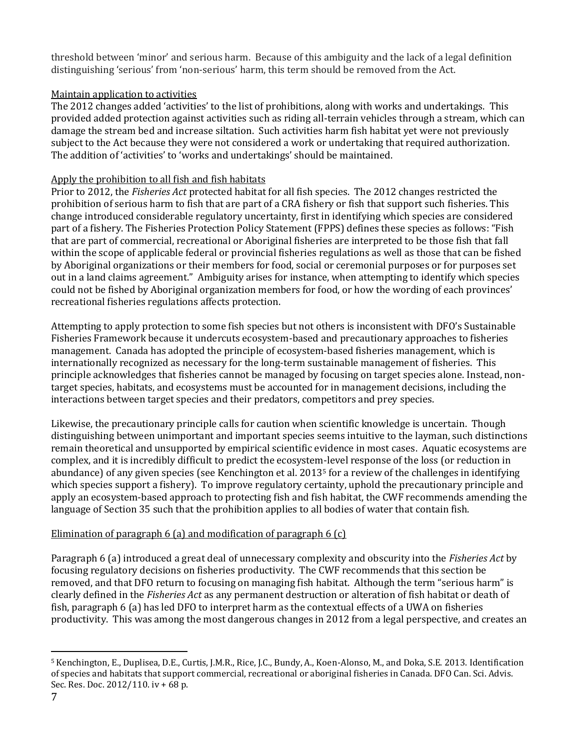threshold between 'minor' and serious harm. Because of this ambiguity and the lack of a legal definition distinguishing 'serious' from 'non-serious' harm, this term should be removed from the Act.

### Maintain application to activities

The 2012 changes added 'activities' to the list of prohibitions, along with works and undertakings. This provided added protection against activities such as riding all-terrain vehicles through a stream, which can damage the stream bed and increase siltation. Such activities harm fish habitat yet were not previously subject to the Act because they were not considered a work or undertaking that required authorization. The addition of 'activities' to 'works and undertakings' should be maintained.

#### Apply the prohibition to all fish and fish habitats

Prior to 2012, the *Fisheries Act* protected habitat for all fish species. The 2012 changes restricted the prohibition of serious harm to fish that are part of a CRA fishery or fish that support such fisheries. This change introduced considerable regulatory uncertainty, first in identifying which species are considered part of a fishery. The Fisheries Protection Policy Statement (FPPS) defines these species as follows: "Fish that are part of commercial, recreational or Aboriginal fisheries are interpreted to be those fish that fall within the scope of applicable federal or provincial fisheries regulations as well as those that can be fished by Aboriginal organizations or their members for food, social or ceremonial purposes or for purposes set out in a land claims agreement." Ambiguity arises for instance, when attempting to identify which species could not be fished by Aboriginal organization members for food, or how the wording of each provinces' recreational fisheries regulations affects protection.

Attempting to apply protection to some fish species but not others is inconsistent with DFO's Sustainable Fisheries Framework because it undercuts ecosystem-based and precautionary approaches to fisheries management. Canada has adopted the principle of ecosystem-based fisheries management, which is internationally recognized as necessary for the long-term sustainable management of fisheries. This principle acknowledges that fisheries cannot be managed by focusing on target species alone. Instead, nontarget species, habitats, and ecosystems must be accounted for in management decisions, including the interactions between target species and their predators, competitors and prey species.

Likewise, the precautionary principle calls for caution when scientific knowledge is uncertain. Though distinguishing between unimportant and important species seems intuitive to the layman, such distinctions remain theoretical and unsupported by empirical scientific evidence in most cases. Aquatic ecosystems are complex, and it is incredibly difficult to predict the ecosystem-level response of the loss (or reduction in abundance) of any given species (see Kenchington et al. 2013<sup>5</sup> for a review of the challenges in identifying which species support a fishery). To improve regulatory certainty, uphold the precautionary principle and apply an ecosystem-based approach to protecting fish and fish habitat, the CWF recommends amending the language of Section 35 such that the prohibition applies to all bodies of water that contain fish.

#### Elimination of paragraph 6 (a) and modification of paragraph 6 (c)

Paragraph 6 (a) introduced a great deal of unnecessary complexity and obscurity into the *Fisheries Act* by focusing regulatory decisions on fisheries productivity. The CWF recommends that this section be removed, and that DFO return to focusing on managing fish habitat. Although the term "serious harm" is clearly defined in the *Fisheries Act* as any permanent destruction or alteration of fish habitat or death of fish, paragraph 6 (a) has led DFO to interpret harm as the contextual effects of a UWA on fisheries productivity. This was among the most dangerous changes in 2012 from a legal perspective, and creates an

l

<sup>5</sup> Kenchington, E., Duplisea, D.E., Curtis, J.M.R., Rice, J.C., Bundy, A., Koen-Alonso, M., and Doka, S.E. 2013. Identification of species and habitats that support commercial, recreational or aboriginal fisheries in Canada. DFO Can. Sci. Advis. Sec. Res. Doc. 2012/110. iv + 68 p.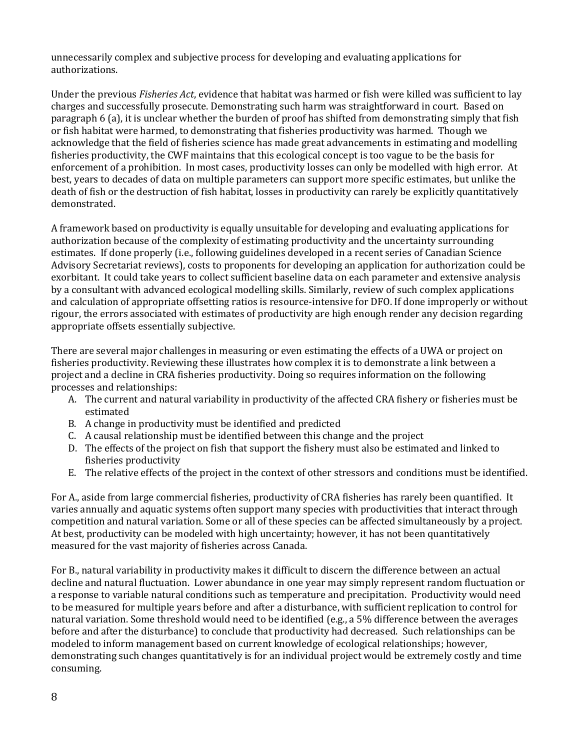unnecessarily complex and subjective process for developing and evaluating applications for authorizations.

Under the previous *Fisheries Act*, evidence that habitat was harmed or fish were killed was sufficient to lay charges and successfully prosecute. Demonstrating such harm was straightforward in court. Based on paragraph 6 (a), it is unclear whether the burden of proof has shifted from demonstrating simply that fish or fish habitat were harmed, to demonstrating that fisheries productivity was harmed. Though we acknowledge that the field of fisheries science has made great advancements in estimating and modelling fisheries productivity, the CWF maintains that this ecological concept is too vague to be the basis for enforcement of a prohibition. In most cases, productivity losses can only be modelled with high error. At best, years to decades of data on multiple parameters can support more specific estimates, but unlike the death of fish or the destruction of fish habitat, losses in productivity can rarely be explicitly quantitatively demonstrated.

A framework based on productivity is equally unsuitable for developing and evaluating applications for authorization because of the complexity of estimating productivity and the uncertainty surrounding estimates. If done properly (i.e., following guidelines developed in a recent series of Canadian Science Advisory Secretariat reviews), costs to proponents for developing an application for authorization could be exorbitant. It could take years to collect sufficient baseline data on each parameter and extensive analysis by a consultant with advanced ecological modelling skills. Similarly, review of such complex applications and calculation of appropriate offsetting ratios is resource-intensive for DFO. If done improperly or without rigour, the errors associated with estimates of productivity are high enough render any decision regarding appropriate offsets essentially subjective.

There are several major challenges in measuring or even estimating the effects of a UWA or project on fisheries productivity. Reviewing these illustrates how complex it is to demonstrate a link between a project and a decline in CRA fisheries productivity. Doing so requires information on the following processes and relationships:

- A. The current and natural variability in productivity of the affected CRA fishery or fisheries must be estimated
- B. A change in productivity must be identified and predicted
- C. A causal relationship must be identified between this change and the project
- D. The effects of the project on fish that support the fishery must also be estimated and linked to fisheries productivity
- E. The relative effects of the project in the context of other stressors and conditions must be identified.

For A., aside from large commercial fisheries, productivity of CRA fisheries has rarely been quantified. It varies annually and aquatic systems often support many species with productivities that interact through competition and natural variation. Some or all of these species can be affected simultaneously by a project. At best, productivity can be modeled with high uncertainty; however, it has not been quantitatively measured for the vast majority of fisheries across Canada.

For B., natural variability in productivity makes it difficult to discern the difference between an actual decline and natural fluctuation. Lower abundance in one year may simply represent random fluctuation or a response to variable natural conditions such as temperature and precipitation. Productivity would need to be measured for multiple years before and after a disturbance, with sufficient replication to control for natural variation. Some threshold would need to be identified (e.g., a 5% difference between the averages before and after the disturbance) to conclude that productivity had decreased. Such relationships can be modeled to inform management based on current knowledge of ecological relationships; however, demonstrating such changes quantitatively is for an individual project would be extremely costly and time consuming.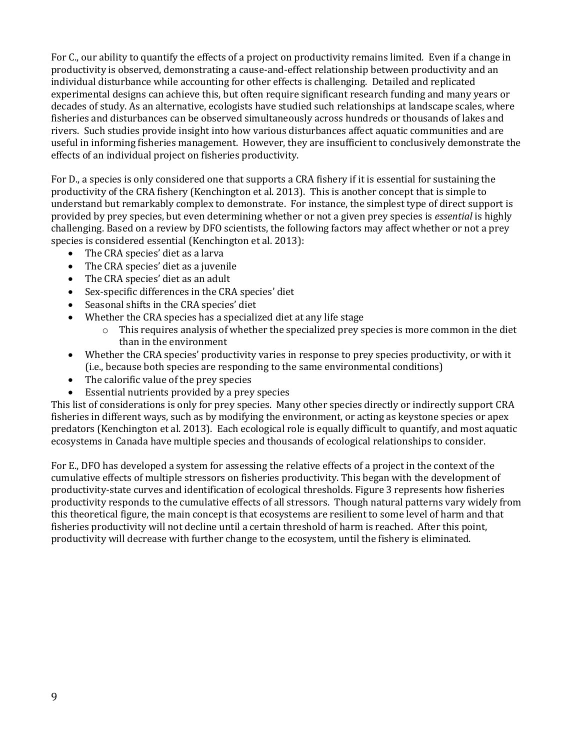For C., our ability to quantify the effects of a project on productivity remains limited. Even if a change in productivity is observed, demonstrating a cause-and-effect relationship between productivity and an individual disturbance while accounting for other effects is challenging. Detailed and replicated experimental designs can achieve this, but often require significant research funding and many years or decades of study. As an alternative, ecologists have studied such relationships at landscape scales, where fisheries and disturbances can be observed simultaneously across hundreds or thousands of lakes and rivers. Such studies provide insight into how various disturbances affect aquatic communities and are useful in informing fisheries management. However, they are insufficient to conclusively demonstrate the effects of an individual project on fisheries productivity.

For D., a species is only considered one that supports a CRA fishery if it is essential for sustaining the productivity of the CRA fishery (Kenchington et al. 2013). This is another concept that is simple to understand but remarkably complex to demonstrate. For instance, the simplest type of direct support is provided by prey species, but even determining whether or not a given prey species is *essential* is highly challenging. Based on a review by DFO scientists, the following factors may affect whether or not a prey species is considered essential (Kenchington et al. 2013):

- The CRA species' diet as a larva
- The CRA species' diet as a juvenile
- The CRA species' diet as an adult
- Sex-specific differences in the CRA species' diet
- Seasonal shifts in the CRA species' diet
- Whether the CRA species has a specialized diet at any life stage
	- $\circ$  This requires analysis of whether the specialized prey species is more common in the diet than in the environment
- Whether the CRA species' productivity varies in response to prey species productivity, or with it (i.e., because both species are responding to the same environmental conditions)
- The calorific value of the prey species
- Essential nutrients provided by a prey species

This list of considerations is only for prey species. Many other species directly or indirectly support CRA fisheries in different ways, such as by modifying the environment, or acting as keystone species or apex predators (Kenchington et al. 2013). Each ecological role is equally difficult to quantify, and most aquatic ecosystems in Canada have multiple species and thousands of ecological relationships to consider.

For E., DFO has developed a system for assessing the relative effects of a project in the context of the cumulative effects of multiple stressors on fisheries productivity. This began with the development of productivity-state curves and identification of ecological thresholds. Figure 3 represents how fisheries productivity responds to the cumulative effects of all stressors. Though natural patterns vary widely from this theoretical figure, the main concept is that ecosystems are resilient to some level of harm and that fisheries productivity will not decline until a certain threshold of harm is reached. After this point, productivity will decrease with further change to the ecosystem, until the fishery is eliminated.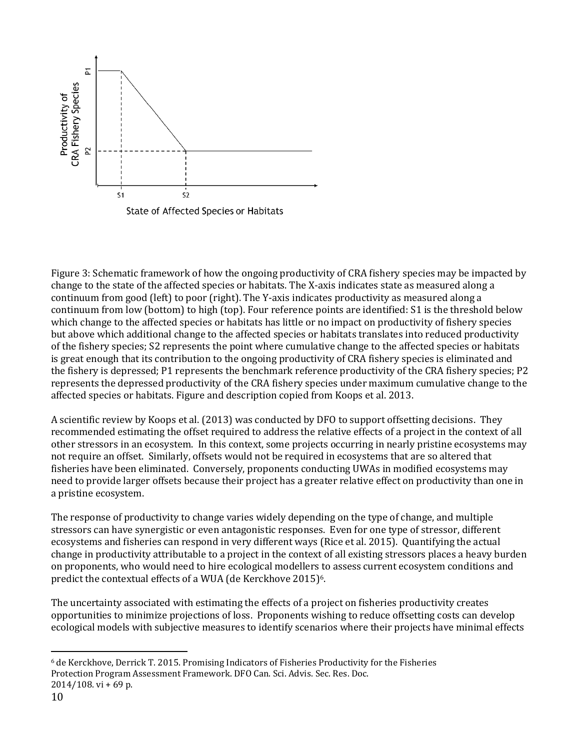

Figure 3: Schematic framework of how the ongoing productivity of CRA fishery species may be impacted by change to the state of the affected species or habitats. The X-axis indicates state as measured along a continuum from good (left) to poor (right). The Y-axis indicates productivity as measured along a continuum from low (bottom) to high (top). Four reference points are identified: S1 is the threshold below which change to the affected species or habitats has little or no impact on productivity of fishery species but above which additional change to the affected species or habitats translates into reduced productivity of the fishery species; S2 represents the point where cumulative change to the affected species or habitats is great enough that its contribution to the ongoing productivity of CRA fishery species is eliminated and the fishery is depressed; P1 represents the benchmark reference productivity of the CRA fishery species; P2 represents the depressed productivity of the CRA fishery species under maximum cumulative change to the affected species or habitats. Figure and description copied from Koops et al. 2013.

A scientific review by Koops et al. (2013) was conducted by DFO to support offsetting decisions. They recommended estimating the offset required to address the relative effects of a project in the context of all other stressors in an ecosystem. In this context, some projects occurring in nearly pristine ecosystems may not require an offset. Similarly, offsets would not be required in ecosystems that are so altered that fisheries have been eliminated. Conversely, proponents conducting UWAs in modified ecosystems may need to provide larger offsets because their project has a greater relative effect on productivity than one in a pristine ecosystem.

The response of productivity to change varies widely depending on the type of change, and multiple stressors can have synergistic or even antagonistic responses. Even for one type of stressor, different ecosystems and fisheries can respond in very different ways (Rice et al. 2015). Quantifying the actual change in productivity attributable to a project in the context of all existing stressors places a heavy burden on proponents, who would need to hire ecological modellers to assess current ecosystem conditions and predict the contextual effects of a WUA (de Kerckhove 2015)<sup>6</sup>.

The uncertainty associated with estimating the effects of a project on fisheries productivity creates opportunities to minimize projections of loss. Proponents wishing to reduce offsetting costs can develop ecological models with subjective measures to identify scenarios where their projects have minimal effects

<sup>6</sup> de Kerckhove, Derrick T. 2015. Promising Indicators of Fisheries Productivity for the Fisheries Protection Program Assessment Framework. DFO Can. Sci. Advis. Sec. Res. Doc.  $2014/108$ . vi + 69 p.

l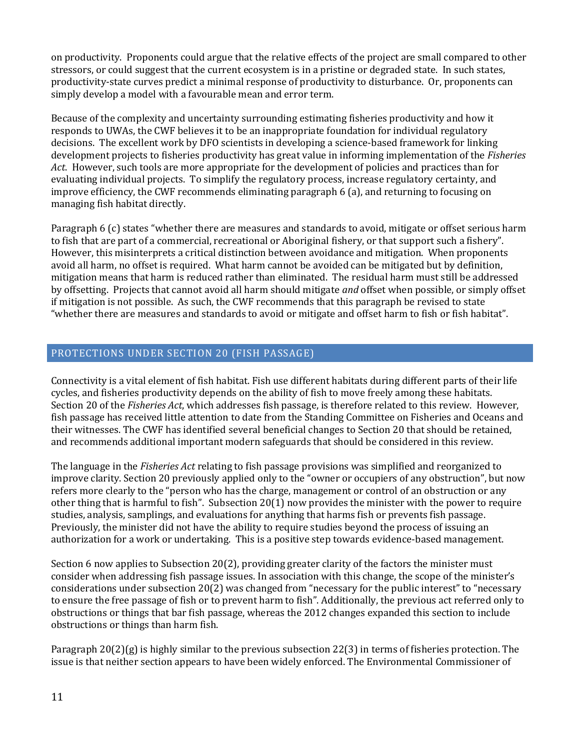on productivity. Proponents could argue that the relative effects of the project are small compared to other stressors, or could suggest that the current ecosystem is in a pristine or degraded state. In such states, productivity-state curves predict a minimal response of productivity to disturbance. Or, proponents can simply develop a model with a favourable mean and error term.

Because of the complexity and uncertainty surrounding estimating fisheries productivity and how it responds to UWAs, the CWF believes it to be an inappropriate foundation for individual regulatory decisions. The excellent work by DFO scientists in developing a science-based framework for linking development projects to fisheries productivity has great value in informing implementation of the *Fisheries Act*. However, such tools are more appropriate for the development of policies and practices than for evaluating individual projects. To simplify the regulatory process, increase regulatory certainty, and improve efficiency, the CWF recommends eliminating paragraph 6 (a), and returning to focusing on managing fish habitat directly.

Paragraph 6 (c) states "whether there are measures and standards to avoid, mitigate or offset serious harm to fish that are part of a commercial, recreational or Aboriginal fishery, or that support such a fishery". However, this misinterprets a critical distinction between avoidance and mitigation. When proponents avoid all harm, no offset is required. What harm cannot be avoided can be mitigated but by definition, mitigation means that harm is reduced rather than eliminated. The residual harm must still be addressed by offsetting. Projects that cannot avoid all harm should mitigate *and* offset when possible, or simply offset if mitigation is not possible. As such, the CWF recommends that this paragraph be revised to state "whether there are measures and standards to avoid or mitigate and offset harm to fish or fish habitat".

# <span id="page-10-0"></span>PROTECTIONS UNDER SECTION 20 (FISH PASSAGE)

Connectivity is a vital element of fish habitat. Fish use different habitats during different parts of their life cycles, and fisheries productivity depends on the ability of fish to move freely among these habitats. Section 20 of the *Fisheries Act*, which addresses fish passage, is therefore related to this review. However, fish passage has received little attention to date from the Standing Committee on Fisheries and Oceans and their witnesses. The CWF has identified several beneficial changes to Section 20 that should be retained, and recommends additional important modern safeguards that should be considered in this review.

The language in the *Fisheries Act* relating to fish passage provisions was simplified and reorganized to improve clarity. Section 20 previously applied only to the "owner or occupiers of any obstruction", but now refers more clearly to the "person who has the charge, management or control of an obstruction or any other thing that is harmful to fish". Subsection 20(1) now provides the minister with the power to require studies, analysis, samplings, and evaluations for anything that harms fish or prevents fish passage. Previously, the minister did not have the ability to require studies beyond the process of issuing an authorization for a work or undertaking. This is a positive step towards evidence-based management.

Section 6 now applies to Subsection 20(2), providing greater clarity of the factors the minister must consider when addressing fish passage issues. In association with this change, the scope of the minister's considerations under subsection 20(2) was changed from "necessary for the public interest" to "necessary to ensure the free passage of fish or to prevent harm to fish". Additionally, the previous act referred only to obstructions or things that bar fish passage, whereas the 2012 changes expanded this section to include obstructions or things than harm fish.

Paragraph 20(2)(g) is highly similar to the previous subsection 22(3) in terms of fisheries protection. The issue is that neither section appears to have been widely enforced. The Environmental Commissioner of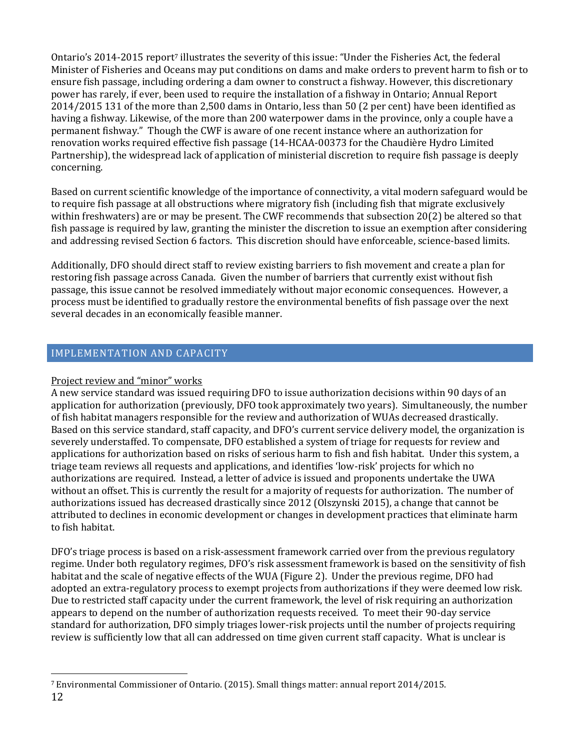Ontario's 2014-2015 report<sup>7</sup> illustrates the severity of this issue: "Under the Fisheries Act, the federal Minister of Fisheries and Oceans may put conditions on dams and make orders to prevent harm to fish or to ensure fish passage, including ordering a dam owner to construct a fishway. However, this discretionary power has rarely, if ever, been used to require the installation of a fishway in Ontario; Annual Report 2014/2015 131 of the more than 2,500 dams in Ontario, less than 50 (2 per cent) have been identified as having a fishway. Likewise, of the more than 200 waterpower dams in the province, only a couple have a permanent fishway." Though the CWF is aware of one recent instance where an authorization for renovation works required effective fish passage (14-HCAA-00373 for the Chaudière Hydro Limited Partnership), the widespread lack of application of ministerial discretion to require fish passage is deeply concerning.

Based on current scientific knowledge of the importance of connectivity, a vital modern safeguard would be to require fish passage at all obstructions where migratory fish (including fish that migrate exclusively within freshwaters) are or may be present. The CWF recommends that subsection 20(2) be altered so that fish passage is required by law, granting the minister the discretion to issue an exemption after considering and addressing revised Section 6 factors. This discretion should have enforceable, science-based limits.

Additionally, DFO should direct staff to review existing barriers to fish movement and create a plan for restoring fish passage across Canada. Given the number of barriers that currently exist without fish passage, this issue cannot be resolved immediately without major economic consequences. However, a process must be identified to gradually restore the environmental benefits of fish passage over the next several decades in an economically feasible manner.

# <span id="page-11-0"></span>IMPLEMENTATION AND CAPACITY

## Project review and "minor" works

A new service standard was issued requiring DFO to issue authorization decisions within 90 days of an application for authorization (previously, DFO took approximately two years). Simultaneously, the number of fish habitat managers responsible for the review and authorization of WUAs decreased drastically. Based on this service standard, staff capacity, and DFO's current service delivery model, the organization is severely understaffed. To compensate, DFO established a system of triage for requests for review and applications for authorization based on risks of serious harm to fish and fish habitat. Under this system, a triage team reviews all requests and applications, and identifies 'low-risk' projects for which no authorizations are required. Instead, a letter of advice is issued and proponents undertake the UWA without an offset. This is currently the result for a majority of requests for authorization. The number of authorizations issued has decreased drastically since 2012 (Olszynski 2015), a change that cannot be attributed to declines in economic development or changes in development practices that eliminate harm to fish habitat.

DFO's triage process is based on a risk-assessment framework carried over from the previous regulatory regime. Under both regulatory regimes, DFO's risk assessment framework is based on the sensitivity of fish habitat and the scale of negative effects of the WUA (Figure 2). Under the previous regime, DFO had adopted an extra-regulatory process to exempt projects from authorizations if they were deemed low risk. Due to restricted staff capacity under the current framework, the level of risk requiring an authorization appears to depend on the number of authorization requests received. To meet their 90-day service standard for authorization, DFO simply triages lower-risk projects until the number of projects requiring review is sufficiently low that all can addressed on time given current staff capacity. What is unclear is

<sup>7</sup> Environmental Commissioner of Ontario. (2015). Small things matter: annual report 2014/2015.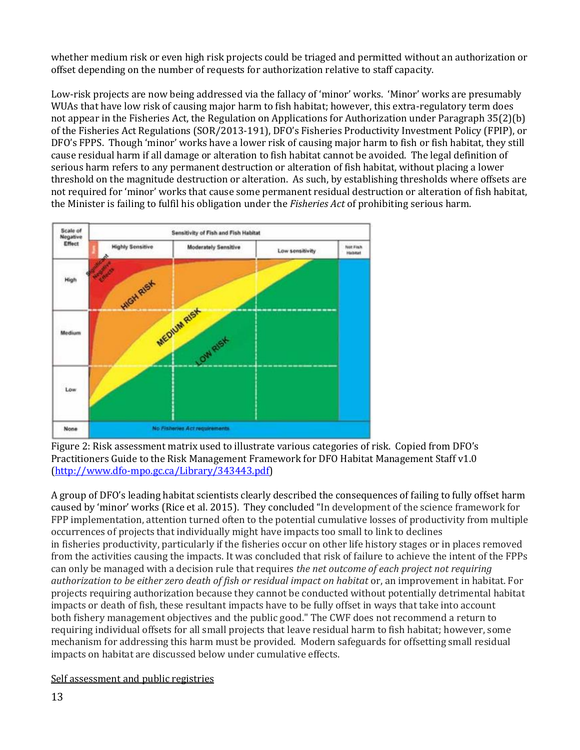whether medium risk or even high risk projects could be triaged and permitted without an authorization or offset depending on the number of requests for authorization relative to staff capacity.

Low-risk projects are now being addressed via the fallacy of 'minor' works. 'Minor' works are presumably WUAs that have low risk of causing major harm to fish habitat; however, this extra-regulatory term does not appear in the Fisheries Act, the Regulation on Applications for Authorization under Paragraph 35(2)(b) of the Fisheries Act Regulations (SOR/2013-191), DFO's Fisheries Productivity Investment Policy (FPIP), or DFO's FPPS. Though 'minor' works have a lower risk of causing major harm to fish or fish habitat, they still cause residual harm if all damage or alteration to fish habitat cannot be avoided. The legal definition of serious harm refers to any permanent destruction or alteration of fish habitat, without placing a lower threshold on the magnitude destruction or alteration. As such, by establishing thresholds where offsets are not required for 'minor' works that cause some permanent residual destruction or alteration of fish habitat, the Minister is failing to fulfil his obligation under the *Fisheries Act* of prohibiting serious harm.





A group of DFO's leading habitat scientists clearly described the consequences of failing to fully offset harm caused by 'minor' works (Rice et al. 2015). They concluded "In development of the science framework for FPP implementation, attention turned often to the potential cumulative losses of productivity from multiple occurrences of projects that individually might have impacts too small to link to declines in fisheries productivity, particularly if the fisheries occur on other life history stages or in places removed from the activities causing the impacts. It was concluded that risk of failure to achieve the intent of the FPPs can only be managed with a decision rule that requires *the net outcome of each project not requiring authorization to be either zero death of fish or residual impact on habitat* or, an improvement in habitat. For projects requiring authorization because they cannot be conducted without potentially detrimental habitat impacts or death of fish, these resultant impacts have to be fully offset in ways that take into account both fishery management objectives and the public good." The CWF does not recommend a return to requiring individual offsets for all small projects that leave residual harm to fish habitat; however, some mechanism for addressing this harm must be provided. Modern safeguards for offsetting small residual impacts on habitat are discussed below under cumulative effects.

Self assessment and public registries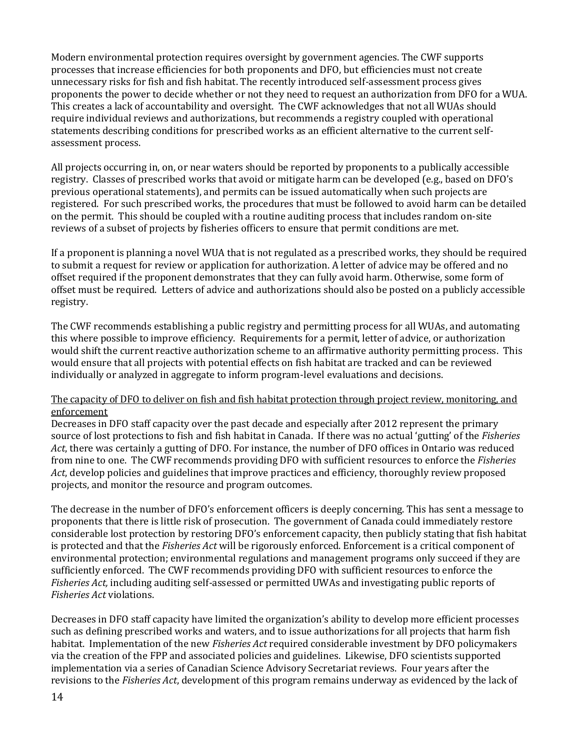Modern environmental protection requires oversight by government agencies. The CWF supports processes that increase efficiencies for both proponents and DFO, but efficiencies must not create unnecessary risks for fish and fish habitat. The recently introduced self-assessment process gives proponents the power to decide whether or not they need to request an authorization from DFO for a WUA. This creates a lack of accountability and oversight. The CWF acknowledges that not all WUAs should require individual reviews and authorizations, but recommends a registry coupled with operational statements describing conditions for prescribed works as an efficient alternative to the current selfassessment process.

All projects occurring in, on, or near waters should be reported by proponents to a publically accessible registry. Classes of prescribed works that avoid or mitigate harm can be developed (e.g., based on DFO's previous operational statements), and permits can be issued automatically when such projects are registered. For such prescribed works, the procedures that must be followed to avoid harm can be detailed on the permit. This should be coupled with a routine auditing process that includes random on-site reviews of a subset of projects by fisheries officers to ensure that permit conditions are met.

If a proponent is planning a novel WUA that is not regulated as a prescribed works, they should be required to submit a request for review or application for authorization. A letter of advice may be offered and no offset required if the proponent demonstrates that they can fully avoid harm. Otherwise, some form of offset must be required. Letters of advice and authorizations should also be posted on a publicly accessible registry.

The CWF recommends establishing a public registry and permitting process for all WUAs, and automating this where possible to improve efficiency. Requirements for a permit, letter of advice, or authorization would shift the current reactive authorization scheme to an affirmative authority permitting process. This would ensure that all projects with potential effects on fish habitat are tracked and can be reviewed individually or analyzed in aggregate to inform program-level evaluations and decisions.

#### The capacity of DFO to deliver on fish and fish habitat protection through project review, monitoring, and enforcement

Decreases in DFO staff capacity over the past decade and especially after 2012 represent the primary source of lost protections to fish and fish habitat in Canada. If there was no actual 'gutting' of the *Fisheries Act*, there was certainly a gutting of DFO. For instance, the number of DFO offices in Ontario was reduced from nine to one. The CWF recommends providing DFO with sufficient resources to enforce the *Fisheries Act*, develop policies and guidelines that improve practices and efficiency, thoroughly review proposed projects, and monitor the resource and program outcomes.

The decrease in the number of DFO's enforcement officers is deeply concerning. This has sent a message to proponents that there is little risk of prosecution. The government of Canada could immediately restore considerable lost protection by restoring DFO's enforcement capacity, then publicly stating that fish habitat is protected and that the *Fisheries Act* will be rigorously enforced. Enforcement is a critical component of environmental protection; environmental regulations and management programs only succeed if they are sufficiently enforced. The CWF recommends providing DFO with sufficient resources to enforce the *Fisheries Act,* including auditing self-assessed or permitted UWAs and investigating public reports of *Fisheries Act* violations.

Decreases in DFO staff capacity have limited the organization's ability to develop more efficient processes such as defining prescribed works and waters, and to issue authorizations for all projects that harm fish habitat. Implementation of the new *Fisheries Act* required considerable investment by DFO policymakers via the creation of the FPP and associated policies and guidelines. Likewise, DFO scientists supported implementation via a series of Canadian Science Advisory Secretariat reviews. Four years after the revisions to the *Fisheries Act*, development of this program remains underway as evidenced by the lack of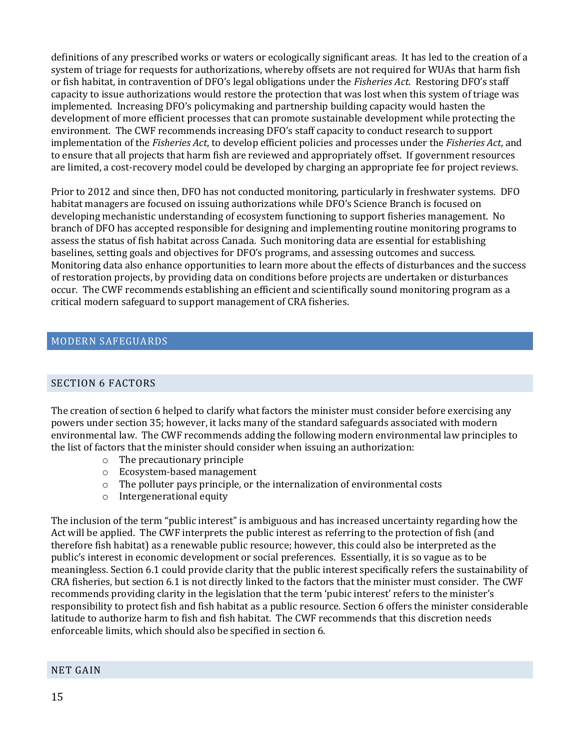definitions of any prescribed works or waters or ecologically significant areas. It has led to the creation of a system of triage for requests for authorizations, whereby offsets are not required for WUAs that harm fish or fish habitat, in contravention of DFO's legal obligations under the *Fisheries Act*. Restoring DFO's staff capacity to issue authorizations would restore the protection that was lost when this system of triage was implemented. Increasing DFO's policymaking and partnership building capacity would hasten the development of more efficient processes that can promote sustainable development while protecting the environment. The CWF recommends increasing DFO's staff capacity to conduct research to support implementation of the *Fisheries Act*, to develop efficient policies and processes under the *Fisheries Act*, and to ensure that all projects that harm fish are reviewed and appropriately offset. If government resources are limited, a cost-recovery model could be developed by charging an appropriate fee for project reviews.

Prior to 2012 and since then, DFO has not conducted monitoring, particularly in freshwater systems. DFO habitat managers are focused on issuing authorizations while DFO's Science Branch is focused on developing mechanistic understanding of ecosystem functioning to support fisheries management. No branch of DFO has accepted responsible for designing and implementing routine monitoring programs to assess the status of fish habitat across Canada. Such monitoring data are essential for establishing baselines, setting goals and objectives for DFO's programs, and assessing outcomes and success. Monitoring data also enhance opportunities to learn more about the effects of disturbances and the success of restoration projects, by providing data on conditions before projects are undertaken or disturbances occur. The CWF recommends establishing an efficient and scientifically sound monitoring program as a critical modern safeguard to support management of CRA fisheries.

# <span id="page-14-0"></span>MODERN SAFEGUARDS

# <span id="page-14-1"></span>SECTION 6 FACTORS

The creation of section 6 helped to clarify what factors the minister must consider before exercising any powers under section 35; however, it lacks many of the standard safeguards associated with modern environmental law. The CWF recommends adding the following modern environmental law principles to the list of factors that the minister should consider when issuing an authorization:

- o The precautionary principle
- o Ecosystem-based management
- o The polluter pays principle, or the internalization of environmental costs
- o Intergenerational equity

The inclusion of the term "public interest" is ambiguous and has increased uncertainty regarding how the Act will be applied. The CWF interprets the public interest as referring to the protection of fish (and therefore fish habitat) as a renewable public resource; however, this could also be interpreted as the public's interest in economic development or social preferences. Essentially, it is so vague as to be meaningless. Section 6.1 could provide clarity that the public interest specifically refers the sustainability of CRA fisheries, but section 6.1 is not directly linked to the factors that the minister must consider. The CWF recommends providing clarity in the legislation that the term 'pubic interest' refers to the minister's responsibility to protect fish and fish habitat as a public resource. Section 6 offers the minister considerable latitude to authorize harm to fish and fish habitat. The CWF recommends that this discretion needs enforceable limits, which should also be specified in section 6.

#### <span id="page-14-2"></span>NET GAIN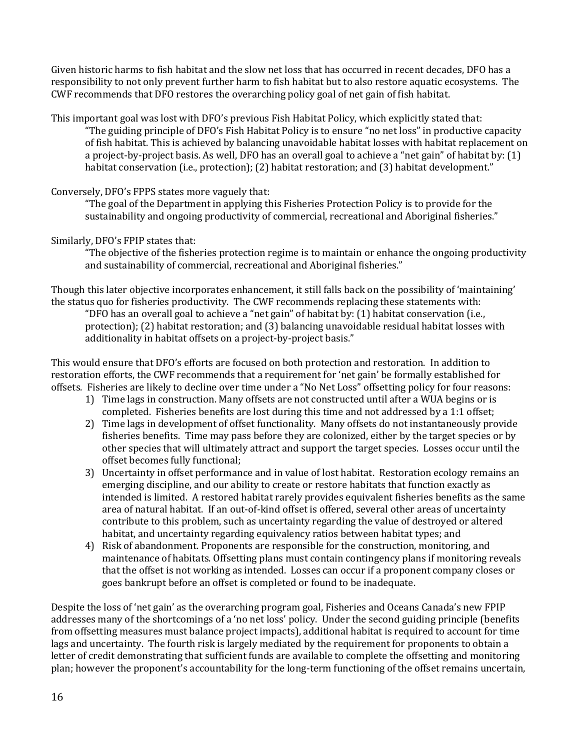Given historic harms to fish habitat and the slow net loss that has occurred in recent decades, DFO has a responsibility to not only prevent further harm to fish habitat but to also restore aquatic ecosystems. The CWF recommends that DFO restores the overarching policy goal of net gain of fish habitat.

This important goal was lost with DFO's previous Fish Habitat Policy, which explicitly stated that: "The guiding principle of DFO's Fish Habitat Policy is to ensure "no net loss" in productive capacity of fish habitat. This is achieved by balancing unavoidable habitat losses with habitat replacement on a project-by-project basis. As well, DFO has an overall goal to achieve a "net gain" of habitat by: (1) habitat conservation (i.e., protection); (2) habitat restoration; and (3) habitat development."

### Conversely, DFO's FPPS states more vaguely that:

"The goal of the Department in applying this Fisheries Protection Policy is to provide for the sustainability and ongoing productivity of commercial, recreational and Aboriginal fisheries."

## Similarly, DFO's FPIP states that:

"The objective of the fisheries protection regime is to maintain or enhance the ongoing productivity and sustainability of commercial, recreational and Aboriginal fisheries."

Though this later objective incorporates enhancement, it still falls back on the possibility of 'maintaining' the status quo for fisheries productivity. The CWF recommends replacing these statements with: "DFO has an overall goal to achieve a "net gain" of habitat by: (1) habitat conservation (i.e., protection); (2) habitat restoration; and (3) balancing unavoidable residual habitat losses with additionality in habitat offsets on a project-by-project basis."

This would ensure that DFO's efforts are focused on both protection and restoration. In addition to restoration efforts, the CWF recommends that a requirement for 'net gain' be formally established for offsets. Fisheries are likely to decline over time under a "No Net Loss" offsetting policy for four reasons:

- 1) Time lags in construction. Many offsets are not constructed until after a WUA begins or is completed. Fisheries benefits are lost during this time and not addressed by a 1:1 offset;
- 2) Time lags in development of offset functionality. Many offsets do not instantaneously provide fisheries benefits. Time may pass before they are colonized, either by the target species or by other species that will ultimately attract and support the target species. Losses occur until the offset becomes fully functional;
- 3) Uncertainty in offset performance and in value of lost habitat. Restoration ecology remains an emerging discipline, and our ability to create or restore habitats that function exactly as intended is limited. A restored habitat rarely provides equivalent fisheries benefits as the same area of natural habitat. If an out-of-kind offset is offered, several other areas of uncertainty contribute to this problem, such as uncertainty regarding the value of destroyed or altered habitat, and uncertainty regarding equivalency ratios between habitat types; and
- 4) Risk of abandonment. Proponents are responsible for the construction, monitoring, and maintenance of habitats. Offsetting plans must contain contingency plans if monitoring reveals that the offset is not working as intended. Losses can occur if a proponent company closes or goes bankrupt before an offset is completed or found to be inadequate.

Despite the loss of 'net gain' as the overarching program goal, Fisheries and Oceans Canada's new FPIP addresses many of the shortcomings of a 'no net loss' policy. Under the second guiding principle (benefits from offsetting measures must balance project impacts), additional habitat is required to account for time lags and uncertainty. The fourth risk is largely mediated by the requirement for proponents to obtain a letter of credit demonstrating that sufficient funds are available to complete the offsetting and monitoring plan; however the proponent's accountability for the long-term functioning of the offset remains uncertain,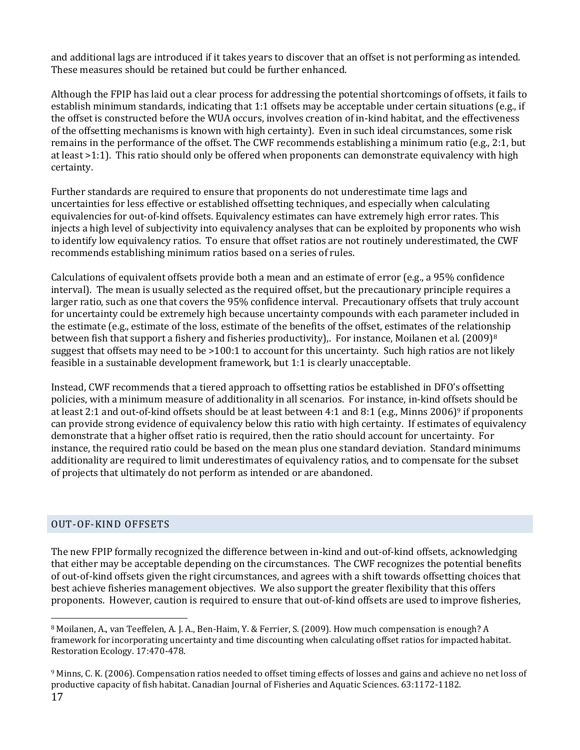and additional lags are introduced if it takes years to discover that an offset is not performing as intended. These measures should be retained but could be further enhanced.

Although the FPIP has laid out a clear process for addressing the potential shortcomings of offsets, it fails to establish minimum standards, indicating that 1:1 offsets may be acceptable under certain situations (e.g., if the offset is constructed before the WUA occurs, involves creation of in-kind habitat, and the effectiveness of the offsetting mechanisms is known with high certainty). Even in such ideal circumstances, some risk remains in the performance of the offset. The CWF recommends establishing a minimum ratio (e.g., 2:1, but at least >1:1). This ratio should only be offered when proponents can demonstrate equivalency with high certainty.

Further standards are required to ensure that proponents do not underestimate time lags and uncertainties for less effective or established offsetting techniques, and especially when calculating equivalencies for out-of-kind offsets. Equivalency estimates can have extremely high error rates. This injects a high level of subjectivity into equivalency analyses that can be exploited by proponents who wish to identify low equivalency ratios. To ensure that offset ratios are not routinely underestimated, the CWF recommends establishing minimum ratios based on a series of rules.

Calculations of equivalent offsets provide both a mean and an estimate of error (e.g., a 95% confidence interval). The mean is usually selected as the required offset, but the precautionary principle requires a larger ratio, such as one that covers the 95% confidence interval. Precautionary offsets that truly account for uncertainty could be extremely high because uncertainty compounds with each parameter included in the estimate (e.g., estimate of the loss, estimate of the benefits of the offset, estimates of the relationship between fish that support a fishery and fisheries productivity),. For instance, Moilanen et al. (2009)<sup>8</sup> suggest that offsets may need to be >100:1 to account for this uncertainty. Such high ratios are not likely feasible in a sustainable development framework, but 1:1 is clearly unacceptable.

Instead, CWF recommends that a tiered approach to offsetting ratios be established in DFO's offsetting policies, with a minimum measure of additionality in all scenarios. For instance, in-kind offsets should be at least 2:1 and out-of-kind offsets should be at least between 4:1 and 8:1 (e.g., Minns 2006)<sup>9</sup> if proponents can provide strong evidence of equivalency below this ratio with high certainty. If estimates of equivalency demonstrate that a higher offset ratio is required, then the ratio should account for uncertainty. For instance, the required ratio could be based on the mean plus one standard deviation. Standard minimums additionality are required to limit underestimates of equivalency ratios, and to compensate for the subset of projects that ultimately do not perform as intended or are abandoned.

#### <span id="page-16-0"></span>OUT-OF-KIND OFFSETS

The new FPIP formally recognized the difference between in-kind and out-of-kind offsets, acknowledging that either may be acceptable depending on the circumstances. The CWF recognizes the potential benefits of out-of-kind offsets given the right circumstances, and agrees with a shift towards offsetting choices that best achieve fisheries management objectives. We also support the greater flexibility that this offers proponents. However, caution is required to ensure that out-of-kind offsets are used to improve fisheries,

<sup>8</sup> Moilanen, A., van Teeffelen, A. J. A., Ben-Haim, Y. & Ferrier, S. (2009). How much compensation is enough? A framework for incorporating uncertainty and time discounting when calculating offset ratios for impacted habitat. Restoration Ecology. 17:470-478.

<sup>9</sup> Minns, C. K. (2006). Compensation ratios needed to offset timing effects of losses and gains and achieve no net loss of productive capacity of fish habitat. Canadian Journal of Fisheries and Aquatic Sciences. 63:1172-1182.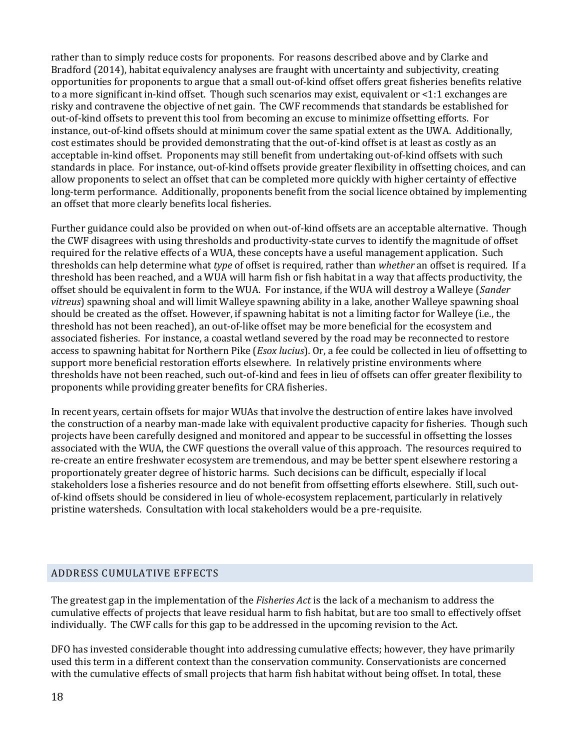rather than to simply reduce costs for proponents. For reasons described above and by Clarke and Bradford (2014), habitat equivalency analyses are fraught with uncertainty and subjectivity, creating opportunities for proponents to argue that a small out-of-kind offset offers great fisheries benefits relative to a more significant in-kind offset. Though such scenarios may exist, equivalent or <1:1 exchanges are risky and contravene the objective of net gain. The CWF recommends that standards be established for out-of-kind offsets to prevent this tool from becoming an excuse to minimize offsetting efforts. For instance, out-of-kind offsets should at minimum cover the same spatial extent as the UWA. Additionally, cost estimates should be provided demonstrating that the out-of-kind offset is at least as costly as an acceptable in-kind offset. Proponents may still benefit from undertaking out-of-kind offsets with such standards in place. For instance, out-of-kind offsets provide greater flexibility in offsetting choices, and can allow proponents to select an offset that can be completed more quickly with higher certainty of effective long-term performance. Additionally, proponents benefit from the social licence obtained by implementing an offset that more clearly benefits local fisheries.

Further guidance could also be provided on when out-of-kind offsets are an acceptable alternative. Though the CWF disagrees with using thresholds and productivity-state curves to identify the magnitude of offset required for the relative effects of a WUA, these concepts have a useful management application. Such thresholds can help determine what *type* of offset is required, rather than *whether* an offset is required. If a threshold has been reached, and a WUA will harm fish or fish habitat in a way that affects productivity, the offset should be equivalent in form to the WUA. For instance, if the WUA will destroy a Walleye (*Sander vitreus*) spawning shoal and will limit Walleye spawning ability in a lake, another Walleye spawning shoal should be created as the offset. However, if spawning habitat is not a limiting factor for Walleye (i.e., the threshold has not been reached), an out-of-like offset may be more beneficial for the ecosystem and associated fisheries. For instance, a coastal wetland severed by the road may be reconnected to restore access to spawning habitat for Northern Pike (*Esox lucius*). Or, a fee could be collected in lieu of offsetting to support more beneficial restoration efforts elsewhere. In relatively pristine environments where thresholds have not been reached, such out-of-kind and fees in lieu of offsets can offer greater flexibility to proponents while providing greater benefits for CRA fisheries.

In recent years, certain offsets for major WUAs that involve the destruction of entire lakes have involved the construction of a nearby man-made lake with equivalent productive capacity for fisheries. Though such projects have been carefully designed and monitored and appear to be successful in offsetting the losses associated with the WUA, the CWF questions the overall value of this approach. The resources required to re-create an entire freshwater ecosystem are tremendous, and may be better spent elsewhere restoring a proportionately greater degree of historic harms. Such decisions can be difficult, especially if local stakeholders lose a fisheries resource and do not benefit from offsetting efforts elsewhere. Still, such outof-kind offsets should be considered in lieu of whole-ecosystem replacement, particularly in relatively pristine watersheds. Consultation with local stakeholders would be a pre-requisite.

# <span id="page-17-0"></span>ADDRESS CUMULATIVE EFFECTS

The greatest gap in the implementation of the *Fisheries Act* is the lack of a mechanism to address the cumulative effects of projects that leave residual harm to fish habitat, but are too small to effectively offset individually. The CWF calls for this gap to be addressed in the upcoming revision to the Act.

DFO has invested considerable thought into addressing cumulative effects; however, they have primarily used this term in a different context than the conservation community. Conservationists are concerned with the cumulative effects of small projects that harm fish habitat without being offset. In total, these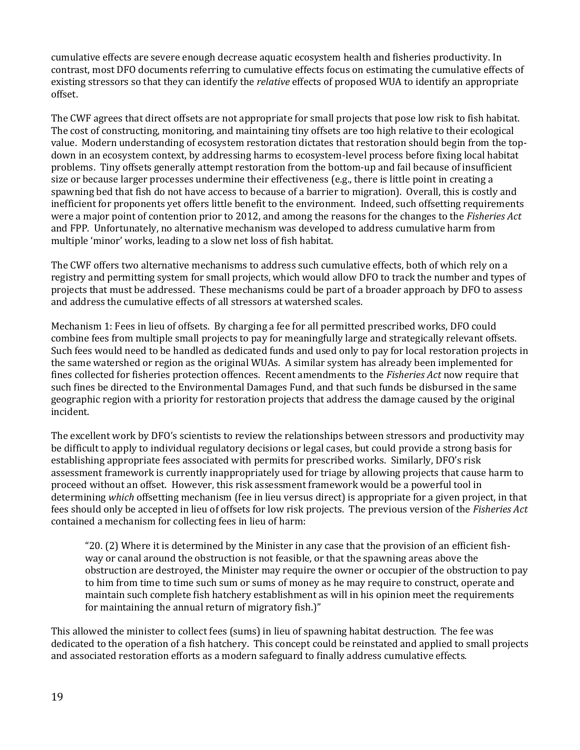cumulative effects are severe enough decrease aquatic ecosystem health and fisheries productivity. In contrast, most DFO documents referring to cumulative effects focus on estimating the cumulative effects of existing stressors so that they can identify the *relative* effects of proposed WUA to identify an appropriate offset.

The CWF agrees that direct offsets are not appropriate for small projects that pose low risk to fish habitat. The cost of constructing, monitoring, and maintaining tiny offsets are too high relative to their ecological value. Modern understanding of ecosystem restoration dictates that restoration should begin from the topdown in an ecosystem context, by addressing harms to ecosystem-level process before fixing local habitat problems. Tiny offsets generally attempt restoration from the bottom-up and fail because of insufficient size or because larger processes undermine their effectiveness (e.g., there is little point in creating a spawning bed that fish do not have access to because of a barrier to migration). Overall, this is costly and inefficient for proponents yet offers little benefit to the environment. Indeed, such offsetting requirements were a major point of contention prior to 2012, and among the reasons for the changes to the *Fisheries Act*  and FPP. Unfortunately, no alternative mechanism was developed to address cumulative harm from multiple 'minor' works, leading to a slow net loss of fish habitat.

The CWF offers two alternative mechanisms to address such cumulative effects, both of which rely on a registry and permitting system for small projects, which would allow DFO to track the number and types of projects that must be addressed. These mechanisms could be part of a broader approach by DFO to assess and address the cumulative effects of all stressors at watershed scales.

Mechanism 1: Fees in lieu of offsets. By charging a fee for all permitted prescribed works, DFO could combine fees from multiple small projects to pay for meaningfully large and strategically relevant offsets. Such fees would need to be handled as dedicated funds and used only to pay for local restoration projects in the same watershed or region as the original WUAs. A similar system has already been implemented for fines collected for fisheries protection offences. Recent amendments to the *Fisheries Act* now require that such fines be directed to the Environmental Damages Fund, and that such funds be disbursed in the same geographic region with a priority for restoration projects that address the damage caused by the original incident.

The excellent work by DFO's scientists to review the relationships between stressors and productivity may be difficult to apply to individual regulatory decisions or legal cases, but could provide a strong basis for establishing appropriate fees associated with permits for prescribed works. Similarly, DFO's risk assessment framework is currently inappropriately used for triage by allowing projects that cause harm to proceed without an offset. However, this risk assessment framework would be a powerful tool in determining *which* offsetting mechanism (fee in lieu versus direct) is appropriate for a given project, in that fees should only be accepted in lieu of offsets for low risk projects. The previous version of the *Fisheries Act* contained a mechanism for collecting fees in lieu of harm:

"20. (2) Where it is determined by the Minister in any case that the provision of an efficient fishway or canal around the obstruction is not feasible, or that the spawning areas above the obstruction are destroyed, the Minister may require the owner or occupier of the obstruction to pay to him from time to time such sum or sums of money as he may require to construct, operate and maintain such complete fish hatchery establishment as will in his opinion meet the requirements for maintaining the annual return of migratory fish.)"

This allowed the minister to collect fees (sums) in lieu of spawning habitat destruction. The fee was dedicated to the operation of a fish hatchery. This concept could be reinstated and applied to small projects and associated restoration efforts as a modern safeguard to finally address cumulative effects.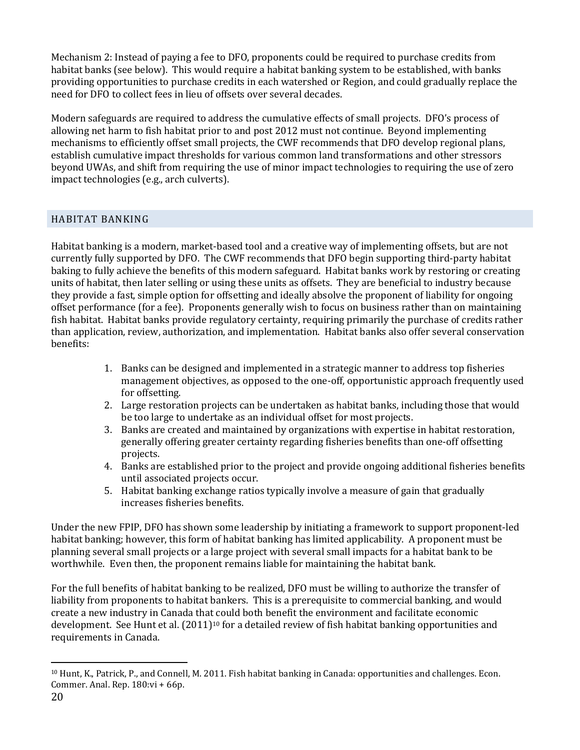Mechanism 2: Instead of paying a fee to DFO, proponents could be required to purchase credits from habitat banks (see below). This would require a habitat banking system to be established, with banks providing opportunities to purchase credits in each watershed or Region, and could gradually replace the need for DFO to collect fees in lieu of offsets over several decades.

Modern safeguards are required to address the cumulative effects of small projects. DFO's process of allowing net harm to fish habitat prior to and post 2012 must not continue. Beyond implementing mechanisms to efficiently offset small projects, the CWF recommends that DFO develop regional plans, establish cumulative impact thresholds for various common land transformations and other stressors beyond UWAs, and shift from requiring the use of minor impact technologies to requiring the use of zero impact technologies (e.g., arch culverts).

## <span id="page-19-0"></span>HABITAT BANKING

Habitat banking is a modern, market-based tool and a creative way of implementing offsets, but are not currently fully supported by DFO. The CWF recommends that DFO begin supporting third-party habitat baking to fully achieve the benefits of this modern safeguard. Habitat banks work by restoring or creating units of habitat, then later selling or using these units as offsets. They are beneficial to industry because they provide a fast, simple option for offsetting and ideally absolve the proponent of liability for ongoing offset performance (for a fee). Proponents generally wish to focus on business rather than on maintaining fish habitat. Habitat banks provide regulatory certainty, requiring primarily the purchase of credits rather than application, review, authorization, and implementation. Habitat banks also offer several conservation benefits:

- 1. Banks can be designed and implemented in a strategic manner to address top fisheries management objectives, as opposed to the one-off, opportunistic approach frequently used for offsetting.
- 2. Large restoration projects can be undertaken as habitat banks, including those that would be too large to undertake as an individual offset for most projects.
- 3. Banks are created and maintained by organizations with expertise in habitat restoration, generally offering greater certainty regarding fisheries benefits than one-off offsetting projects.
- 4. Banks are established prior to the project and provide ongoing additional fisheries benefits until associated projects occur.
- 5. Habitat banking exchange ratios typically involve a measure of gain that gradually increases fisheries benefits.

Under the new FPIP, DFO has shown some leadership by initiating a framework to support proponent-led habitat banking; however, this form of habitat banking has limited applicability. A proponent must be planning several small projects or a large project with several small impacts for a habitat bank to be worthwhile. Even then, the proponent remains liable for maintaining the habitat bank.

For the full benefits of habitat banking to be realized, DFO must be willing to authorize the transfer of liability from proponents to habitat bankers. This is a prerequisite to commercial banking, and would create a new industry in Canada that could both benefit the environment and facilitate economic development. See Hunt et al. (2011)<sup>10</sup> for a detailed review of fish habitat banking opportunities and requirements in Canada.

l

<sup>10</sup> Hunt, K., Patrick, P., and Connell, M. 2011. Fish habitat banking in Canada: opportunities and challenges. Econ. Commer. Anal. Rep. 180:vi + 66p.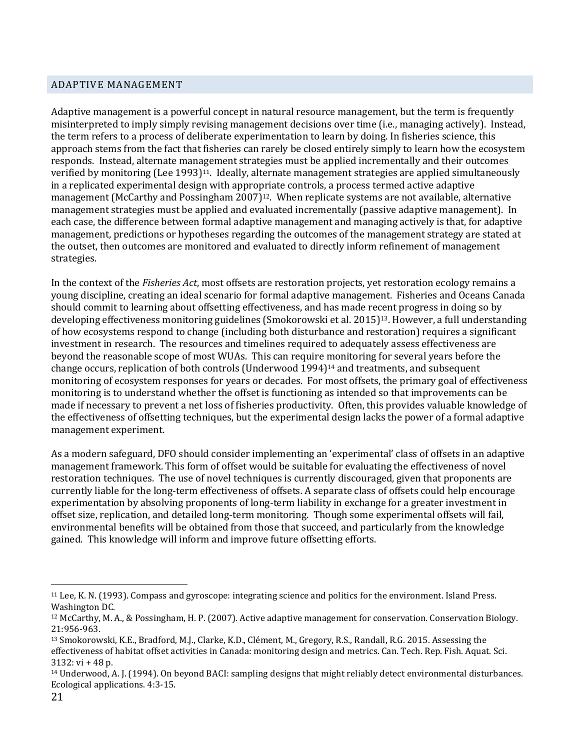#### <span id="page-20-0"></span>ADAPTIVE MANAGEMENT

Adaptive management is a powerful concept in natural resource management, but the term is frequently misinterpreted to imply simply revising management decisions over time (i.e., managing actively). Instead, the term refers to a process of deliberate experimentation to learn by doing. In fisheries science, this approach stems from the fact that fisheries can rarely be closed entirely simply to learn how the ecosystem responds. Instead, alternate management strategies must be applied incrementally and their outcomes verified by monitoring (Lee 1993)11. Ideally, alternate management strategies are applied simultaneously in a replicated experimental design with appropriate controls, a process termed active adaptive management (McCarthy and Possingham  $2007$ <sup>12</sup>. When replicate systems are not available, alternative management strategies must be applied and evaluated incrementally (passive adaptive management). In each case, the difference between formal adaptive management and managing actively is that, for adaptive management, predictions or hypotheses regarding the outcomes of the management strategy are stated at the outset, then outcomes are monitored and evaluated to directly inform refinement of management strategies.

In the context of the *Fisheries Act*, most offsets are restoration projects, yet restoration ecology remains a young discipline, creating an ideal scenario for formal adaptive management. Fisheries and Oceans Canada should commit to learning about offsetting effectiveness, and has made recent progress in doing so by developing effectiveness monitoring guidelines (Smokorowski et al. 2015)<sup>13</sup>. However, a full understanding of how ecosystems respond to change (including both disturbance and restoration) requires a significant investment in research. The resources and timelines required to adequately assess effectiveness are beyond the reasonable scope of most WUAs. This can require monitoring for several years before the change occurs, replication of both controls (Underwood 1994)<sup>14</sup> and treatments, and subsequent monitoring of ecosystem responses for years or decades. For most offsets, the primary goal of effectiveness monitoring is to understand whether the offset is functioning as intended so that improvements can be made if necessary to prevent a net loss of fisheries productivity. Often, this provides valuable knowledge of the effectiveness of offsetting techniques, but the experimental design lacks the power of a formal adaptive management experiment.

As a modern safeguard, DFO should consider implementing an 'experimental' class of offsets in an adaptive management framework. This form of offset would be suitable for evaluating the effectiveness of novel restoration techniques. The use of novel techniques is currently discouraged, given that proponents are currently liable for the long-term effectiveness of offsets. A separate class of offsets could help encourage experimentation by absolving proponents of long-term liability in exchange for a greater investment in offset size, replication, and detailed long-term monitoring. Though some experimental offsets will fail, environmental benefits will be obtained from those that succeed, and particularly from the knowledge gained. This knowledge will inform and improve future offsetting efforts.

<sup>11</sup> Lee, K. N. (1993). Compass and gyroscope: integrating science and politics for the environment. Island Press. Washington DC.

<sup>&</sup>lt;sup>12</sup> McCarthy, M. A., & Possingham, H. P. (2007). Active adaptive management for conservation. Conservation Biology. 21:956-963.

<sup>13</sup> Smokorowski, K.E., Bradford, M.J., Clarke, K.D., Clément, M., Gregory, R.S., Randall, R.G. 2015. Assessing the effectiveness of habitat offset activities in Canada: monitoring design and metrics. Can. Tech. Rep. Fish. Aquat. Sci. 3132: vi + 48 p.

<sup>14</sup> Underwood, A. J. (1994). On beyond BACI: sampling designs that might reliably detect environmental disturbances. Ecological applications. 4:3-15.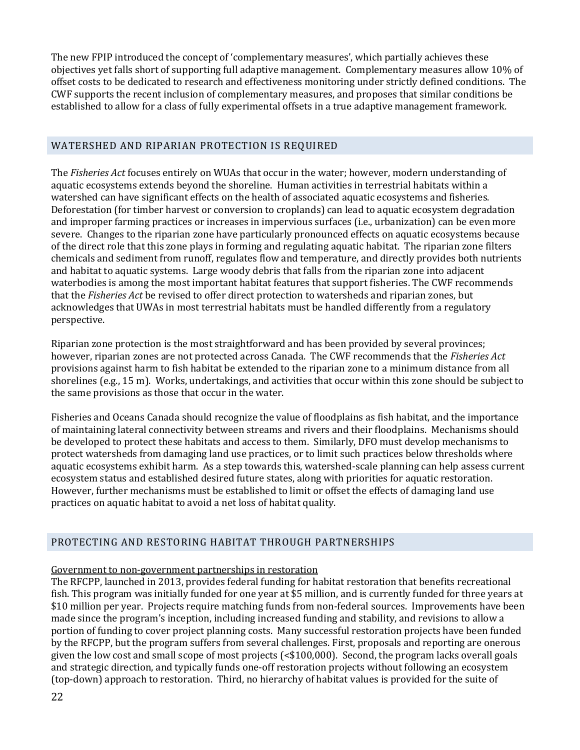The new FPIP introduced the concept of 'complementary measures', which partially achieves these objectives yet falls short of supporting full adaptive management. Complementary measures allow 10% of offset costs to be dedicated to research and effectiveness monitoring under strictly defined conditions. The CWF supports the recent inclusion of complementary measures, and proposes that similar conditions be established to allow for a class of fully experimental offsets in a true adaptive management framework.

## <span id="page-21-0"></span>WATERSHED AND RIPARIAN PROTECTION IS REQUIRED

The *Fisheries Act* focuses entirely on WUAs that occur in the water; however, modern understanding of aquatic ecosystems extends beyond the shoreline. Human activities in terrestrial habitats within a watershed can have significant effects on the health of associated aquatic ecosystems and fisheries. Deforestation (for timber harvest or conversion to croplands) can lead to aquatic ecosystem degradation and improper farming practices or increases in impervious surfaces (i.e., urbanization) can be even more severe. Changes to the riparian zone have particularly pronounced effects on aquatic ecosystems because of the direct role that this zone plays in forming and regulating aquatic habitat. The riparian zone filters chemicals and sediment from runoff, regulates flow and temperature, and directly provides both nutrients and habitat to aquatic systems. Large woody debris that falls from the riparian zone into adjacent waterbodies is among the most important habitat features that support fisheries. The CWF recommends that the *Fisheries Act* be revised to offer direct protection to watersheds and riparian zones, but acknowledges that UWAs in most terrestrial habitats must be handled differently from a regulatory perspective.

Riparian zone protection is the most straightforward and has been provided by several provinces; however, riparian zones are not protected across Canada. The CWF recommends that the *Fisheries Act*  provisions against harm to fish habitat be extended to the riparian zone to a minimum distance from all shorelines (e.g., 15 m). Works, undertakings, and activities that occur within this zone should be subject to the same provisions as those that occur in the water.

Fisheries and Oceans Canada should recognize the value of floodplains as fish habitat, and the importance of maintaining lateral connectivity between streams and rivers and their floodplains. Mechanisms should be developed to protect these habitats and access to them. Similarly, DFO must develop mechanisms to protect watersheds from damaging land use practices, or to limit such practices below thresholds where aquatic ecosystems exhibit harm. As a step towards this, watershed-scale planning can help assess current ecosystem status and established desired future states, along with priorities for aquatic restoration. However, further mechanisms must be established to limit or offset the effects of damaging land use practices on aquatic habitat to avoid a net loss of habitat quality.

# <span id="page-21-1"></span>PROTECTING AND RESTORING HABITAT THROUGH PARTNERSHIPS

#### Government to non-government partnerships in restoration

The RFCPP, launched in 2013, provides federal funding for habitat restoration that benefits recreational fish. This program was initially funded for one year at \$5 million, and is currently funded for three years at \$10 million per year. Projects require matching funds from non-federal sources. Improvements have been made since the program's inception, including increased funding and stability, and revisions to allow a portion of funding to cover project planning costs. Many successful restoration projects have been funded by the RFCPP, but the program suffers from several challenges. First, proposals and reporting are onerous given the low cost and small scope of most projects (<\$100,000). Second, the program lacks overall goals and strategic direction, and typically funds one-off restoration projects without following an ecosystem (top-down) approach to restoration. Third, no hierarchy of habitat values is provided for the suite of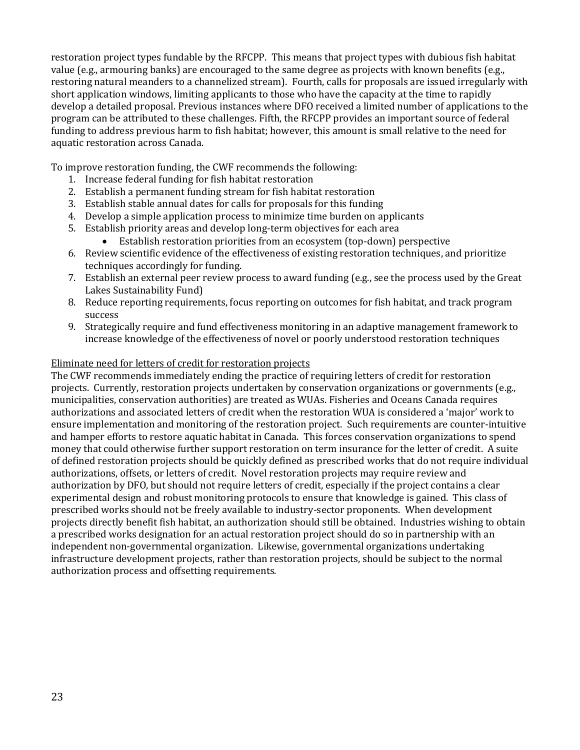restoration project types fundable by the RFCPP. This means that project types with dubious fish habitat value (e.g., armouring banks) are encouraged to the same degree as projects with known benefits (e.g., restoring natural meanders to a channelized stream). Fourth, calls for proposals are issued irregularly with short application windows, limiting applicants to those who have the capacity at the time to rapidly develop a detailed proposal. Previous instances where DFO received a limited number of applications to the program can be attributed to these challenges. Fifth, the RFCPP provides an important source of federal funding to address previous harm to fish habitat; however, this amount is small relative to the need for aquatic restoration across Canada.

To improve restoration funding, the CWF recommends the following:

- 1. Increase federal funding for fish habitat restoration
- 2. Establish a permanent funding stream for fish habitat restoration
- 3. Establish stable annual dates for calls for proposals for this funding
- 4. Develop a simple application process to minimize time burden on applicants
- 5. Establish priority areas and develop long-term objectives for each area
	- Establish restoration priorities from an ecosystem (top-down) perspective
- 6. Review scientific evidence of the effectiveness of existing restoration techniques, and prioritize techniques accordingly for funding.
- 7. Establish an external peer review process to award funding (e.g., see the process used by the Great Lakes Sustainability Fund)
- 8. Reduce reporting requirements, focus reporting on outcomes for fish habitat, and track program success
- 9. Strategically require and fund effectiveness monitoring in an adaptive management framework to increase knowledge of the effectiveness of novel or poorly understood restoration techniques

#### Eliminate need for letters of credit for restoration projects

The CWF recommends immediately ending the practice of requiring letters of credit for restoration projects. Currently, restoration projects undertaken by conservation organizations or governments (e.g., municipalities, conservation authorities) are treated as WUAs. Fisheries and Oceans Canada requires authorizations and associated letters of credit when the restoration WUA is considered a 'major' work to ensure implementation and monitoring of the restoration project. Such requirements are counter-intuitive and hamper efforts to restore aquatic habitat in Canada. This forces conservation organizations to spend money that could otherwise further support restoration on term insurance for the letter of credit. A suite of defined restoration projects should be quickly defined as prescribed works that do not require individual authorizations, offsets, or letters of credit. Novel restoration projects may require review and authorization by DFO, but should not require letters of credit, especially if the project contains a clear experimental design and robust monitoring protocols to ensure that knowledge is gained. This class of prescribed works should not be freely available to industry-sector proponents. When development projects directly benefit fish habitat, an authorization should still be obtained. Industries wishing to obtain a prescribed works designation for an actual restoration project should do so in partnership with an independent non-governmental organization. Likewise, governmental organizations undertaking infrastructure development projects, rather than restoration projects, should be subject to the normal authorization process and offsetting requirements.